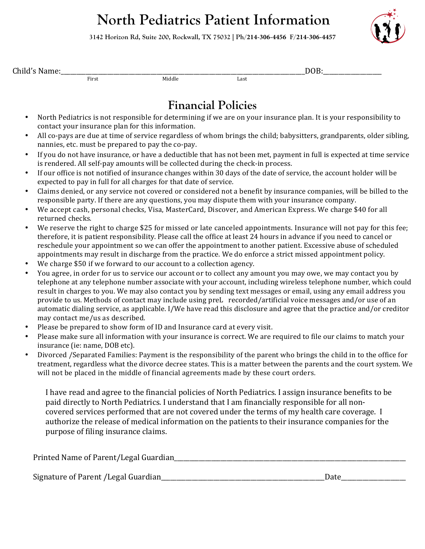# **North Pediatrics Patient Information**

**3142 Horizon Rd, Suite 200, Rockwall, TX 75032 | Ph/214-306-4456 F/214-306-4457**



| Child's Name: |     |
|---------------|-----|
|               | DOF |

First **Example 2018** Middle **Contract Middle** Last

## **Financial Policies**

- North Pediatrics is not responsible for determining if we are on your insurance plan. It is your responsibility to contact your insurance plan for this information.
- All co-pays are due at time of service regardless of whom brings the child; babysitters, grandparents, older sibling, nannies, etc. must be prepared to pay the co-pay.
- If you do not have insurance, or have a deductible that has not been met, payment in full is expected at time service is rendered. All self-pay amounts will be collected during the check-in process.
- If our office is not notified of insurance changes within 30 days of the date of service, the account holder will be expected to pay in full for all charges for that date of service.
- Claims denied, or any service not covered or considered not a benefit by insurance companies, will be billed to the responsible party. If there are any questions, you may dispute them with your insurance company.
- We accept cash, personal checks, Visa, MasterCard, Discover, and American Express. We charge \$40 for all returned checks.
- We reserve the right to charge \$25 for missed or late canceled appointments. Insurance will not pay for this fee; therefore, it is patient responsibility. Please call the office at least 24 hours in advance if you need to cancel or reschedule your appointment so we can offer the appointment to another patient. Excessive abuse of scheduled appointments may result in discharge from the practice. We do enforce a strict missed appointment policy.
- We charge \$50 if we forward to our account to a collection agency.
- You agree, in order for us to service our account or to collect any amount you may owe, we may contact you by telephone at any telephone number associate with your account, including wireless telephone number, which could result in charges to you. We may also contact you by sending text messages or email, using any email address you provide to us. Methods of contact may include using preL recorded/artificial voice messages and/or use of an automatic dialing service, as applicable. I/We have read this disclosure and agree that the practice and/or creditor may contact me/us as described.
- Please be prepared to show form of ID and Insurance card at every visit.
- Please make sure all information with your insurance is correct. We are required to file our claims to match your insurance (ie: name, DOB etc).
- Divorced /Separated Families: Payment is the responsibility of the parent who brings the child in to the office for treatment, regardless what the divorce decree states. This is a matter between the parents and the court system. We will not be placed in the middle of financial agreements made by these court orders.

I have read and agree to the financial policies of North Pediatrics. I assign insurance benefits to be paid directly to North Pediatrics. I understand that I am financially responsible for all noncovered services performed that are not covered under the terms of my health care coverage. I authorize the release of medical information on the patients to their insurance companies for the purpose of filing insurance claims.

| Printed Name of Parent/Legal Guardian |  |
|---------------------------------------|--|
|                                       |  |

Signature of Parent /Legal Guardian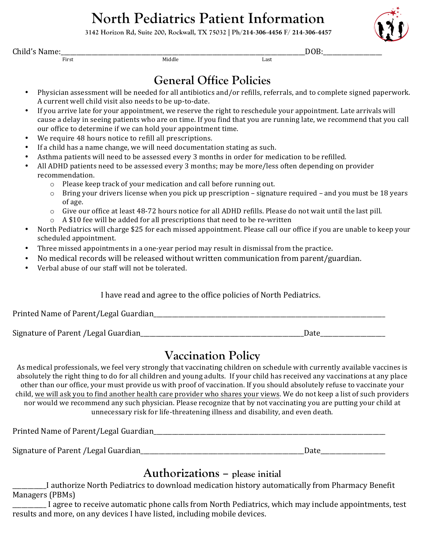# **North Pediatrics Patient Information**

**3142 Horizon Rd, Suite 200, Rockwall, TX 75032 | Ph/214-306-4456 F/ 214-306-4457**

Child's Name: $\frac{1}{\text{First}}$  DOB:

First Last and Middle Communications and Middle Communications and Last Last

## **General Office Policies**

- Physician assessment will be needed for all antibiotics and/or refills, referrals, and to complete signed paperwork. A current well child visit also needs to be up-to-date.
- If you arrive late for your appointment, we reserve the right to reschedule your appointment. Late arrivals will cause a delay in seeing patients who are on time. If you find that you are running late, we recommend that you call our office to determine if we can hold your appointment time.
- We require 48 hours notice to refill all prescriptions.
- If a child has a name change, we will need documentation stating as such.
- Asthma patients will need to be assessed every 3 months in order for medication to be refilled.
- All ADHD patients need to be assessed every 3 months; may be more/less often depending on provider recommendation.
	- $\circ$  Please keep track of your medication and call before running out.
	- $\circ$  Bring your drivers license when you pick up prescription signature required and you must be 18 years of age.
	- $\circ$  Give our office at least 48-72 hours notice for all ADHD refills. Please do not wait until the last pill.
	- $\circ$  A \$10 fee will be added for all prescriptions that need to be re-written
- North Pediatrics will charge \$25 for each missed appointment. Please call our office if you are unable to keep your scheduled appointment.
- Three missed appointments in a one-year period may result in dismissal from the practice.
- No medical records will be released without written communication from parent/guardian.
- Verbal abuse of our staff will not be tolerated.

#### I have read and agree to the office policies of North Pediatrics.

Printed Name of Parent/Legal Guardian\_\_\_\_\_\_\_\_\_\_\_\_\_\_\_\_\_\_\_\_\_\_\_\_\_\_\_\_\_\_\_\_\_\_\_\_\_\_\_\_\_\_\_\_\_\_\_\_\_\_\_\_\_\_\_\_\_\_\_\_\_\_\_\_\_\_\_\_\_\_\_\_\_\_\_

Signature of Parent /Legal Guardian\_\_\_\_\_\_\_\_\_\_\_\_\_\_\_\_\_\_\_\_\_\_\_\_\_\_\_\_\_\_\_\_\_\_\_\_\_\_\_\_\_\_\_\_\_\_\_\_\_\_\_\_\_Date\_\_\_\_\_\_\_\_\_\_\_\_\_\_\_\_\_\_\_\_\_

### **Vaccination Policy**

As medical professionals, we feel very strongly that vaccinating children on schedule with currently available vaccines is absolutely the right thing to do for all children and young adults. If your child has received any vaccinations at any place other than our office, your must provide us with proof of vaccination. If you should absolutely refuse to vaccinate your child, we will ask you to find another health care provider who shares your views. We do not keep a list of such providers nor would we recommend any such physician. Please recognize that by not vaccinating you are putting your child at unnecessary risk for life-threatening illness and disability, and even death.

Printed Name of Parent/Legal Guardian\_\_\_\_\_\_\_\_\_\_\_\_\_\_\_\_\_\_\_\_\_\_\_\_\_\_\_\_\_\_\_\_\_\_\_\_\_\_\_\_\_\_\_\_\_\_\_\_\_\_\_\_\_\_\_\_\_\_\_\_\_\_\_\_\_\_\_\_\_\_\_\_\_\_\_ Signature of Parent /Legal Guardian\_\_\_\_\_\_\_\_\_\_\_\_\_\_\_\_\_\_\_\_\_\_\_\_\_\_\_\_\_\_\_\_\_\_\_\_\_\_\_\_\_\_\_\_\_\_\_\_\_\_\_\_\_Date\_\_\_\_\_\_\_\_\_\_\_\_\_\_\_\_\_\_\_\_\_

### **Authorizations – please initial**

\_\_\_\_\_\_\_\_\_\_\_I authorize North Pediatrics to download medication history automatically from Pharmacy Benefit Managers (PBMs)

I agree to receive automatic phone calls from North Pediatrics, which may include appointments, test results and more, on any devices I have listed, including mobile devices.